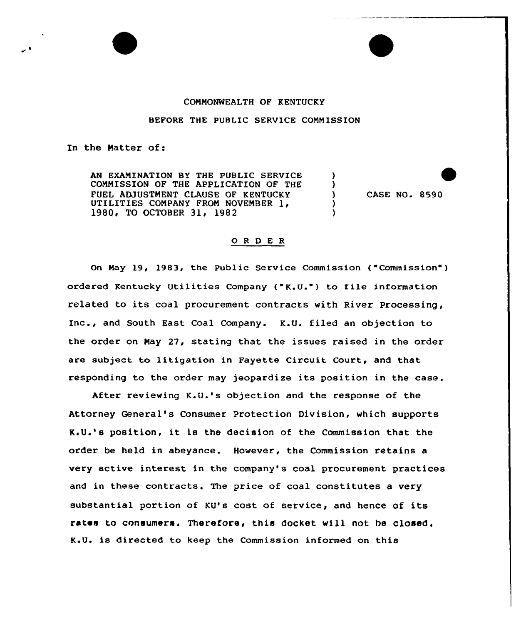## CONNONNEALTH OF KENTUCKY

BEFORE THE PUBLIC SERVICE CONNISSION

In the Natter of:

AN EXAMINATION BY THE PUBLIC SERVICE CONMISSION OF THE APPLICATION OF THE FUEL ADJUSTMENT CLAUSE OF KENTUCKY UTILITIES COMPANY FROM NOVEMBER 1, 1980, TO OCTOBER 31, 1982

CASE NO. 8590

 $\lambda$  $\lambda$  $\lambda$ 

## O R D E R

On Nay 19, 1983, the public Service Commission ("Commission" ) ordered Kentucky Utilities Company ("K.U.") to file information related to its coal procurement contracts with River Processing, Inc., and South East Coal Company. K.U. filed an objection to the order on Nay 27, stating that the issues raised in the order are subject to litigation in Fayette Circuit Court, and that responding to the order may jeopardize its position in the case.

After reviewing K.U.'s objection and the response of the Attorney General's Consumer Protection Division, which supports K.U.'s position, it is the decision of the Commission that the order be held in abeyance. However, the Commission retains a very active interest in the company's coal procurement practices and in these contracts. The price of coal constitutes a very substantial portion of KU's cost of service, and hence of its rates to consumers. Therefore, this docket will not be closed. K.U. is directed to keep the Commission informed on this